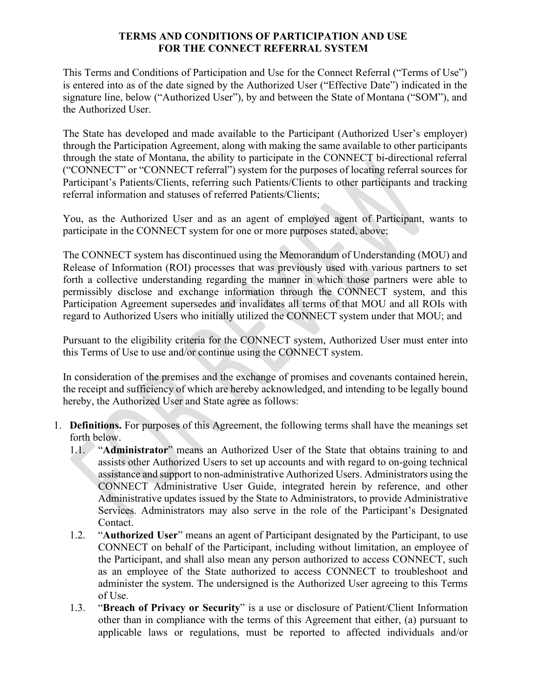### **TERMS AND CONDITIONS OF PARTICIPATION AND USE FOR THE CONNECT REFERRAL SYSTEM**

This Terms and Conditions of Participation and Use for the Connect Referral ("Terms of Use") is entered into as of the date signed by the Authorized User ("Effective Date") indicated in the signature line, below ("Authorized User"), by and between the State of Montana ("SOM"), and the Authorized User.

The State has developed and made available to the Participant (Authorized User's employer) through the Participation Agreement, along with making the same available to other participants through the state of Montana, the ability to participate in the CONNECT bi-directional referral ("CONNECT" or "CONNECT referral") system for the purposes of locating referral sources for Participant's Patients/Clients, referring such Patients/Clients to other participants and tracking referral information and statuses of referred Patients/Clients;

You, as the Authorized User and as an agent of employed agent of Participant, wants to participate in the CONNECT system for one or more purposes stated, above;

The CONNECT system has discontinued using the Memorandum of Understanding (MOU) and Release of Information (ROI) processes that was previously used with various partners to set forth a collective understanding regarding the manner in which those partners were able to permissibly disclose and exchange information through the CONNECT system, and this Participation Agreement supersedes and invalidates all terms of that MOU and all ROIs with regard to Authorized Users who initially utilized the CONNECT system under that MOU; and

Pursuant to the eligibility criteria for the CONNECT system, Authorized User must enter into this Terms of Use to use and/or continue using the CONNECT system.

In consideration of the premises and the exchange of promises and covenants contained herein, the receipt and sufficiency of which are hereby acknowledged, and intending to be legally bound hereby, the Authorized User and State agree as follows:

- 1. **Definitions.** For purposes of this Agreement, the following terms shall have the meanings set forth below.
	- 1.1. "**Administrator**" means an Authorized User of the State that obtains training to and assists other Authorized Users to set up accounts and with regard to on-going technical assistance and support to non-administrative Authorized Users. Administrators using the CONNECT Administrative User Guide, integrated herein by reference, and other Administrative updates issued by the State to Administrators, to provide Administrative Services. Administrators may also serve in the role of the Participant's Designated Contact.
	- 1.2. "**Authorized User**" means an agent of Participant designated by the Participant, to use CONNECT on behalf of the Participant, including without limitation, an employee of the Participant, and shall also mean any person authorized to access CONNECT, such as an employee of the State authorized to access CONNECT to troubleshoot and administer the system. The undersigned is the Authorized User agreeing to this Terms of Use.
	- 1.3. "**Breach of Privacy or Security**" is a use or disclosure of Patient/Client Information other than in compliance with the terms of this Agreement that either, (a) pursuant to applicable laws or regulations, must be reported to affected individuals and/or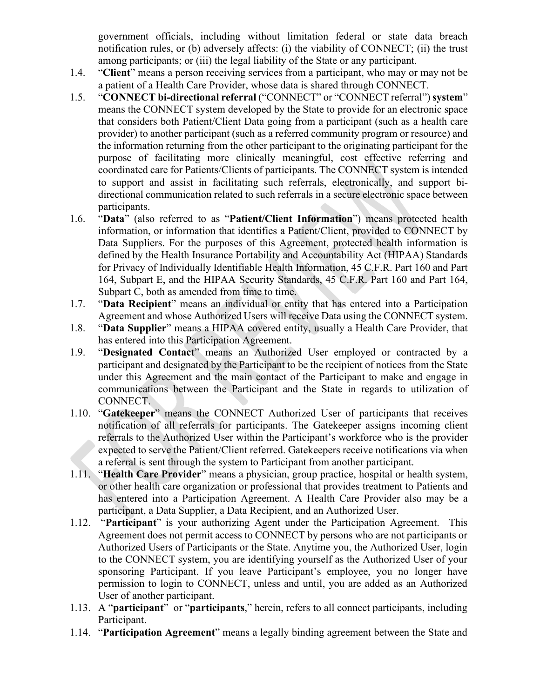government officials, including without limitation federal or state data breach notification rules, or (b) adversely affects: (i) the viability of CONNECT; (ii) the trust among participants; or (iii) the legal liability of the State or any participant.

- 1.4. "**Client**" means a person receiving services from a participant, who may or may not be a patient of a Health Care Provider, whose data is shared through CONNECT.
- 1.5. "**CONNECT bi-directional referral** ("CONNECT" or "CONNECT referral") **system**" means the CONNECT system developed by the State to provide for an electronic space that considers both Patient/Client Data going from a participant (such as a health care provider) to another participant (such as a referred community program or resource) and the information returning from the other participant to the originating participant for the purpose of facilitating more clinically meaningful, cost effective referring and coordinated care for Patients/Clients of participants. The CONNECT system is intended to support and assist in facilitating such referrals, electronically, and support bidirectional communication related to such referrals in a secure electronic space between participants.
- 1.6. "**Data**" (also referred to as "**Patient/Client Information**") means protected health information, or information that identifies a Patient/Client, provided to CONNECT by Data Suppliers. For the purposes of this Agreement, protected health information is defined by the Health Insurance Portability and Accountability Act (HIPAA) Standards for Privacy of Individually Identifiable Health Information, 45 C.F.R. Part 160 and Part 164, Subpart E, and the HIPAA Security Standards, 45 C.F.R. Part 160 and Part 164, Subpart C, both as amended from time to time.
- 1.7. "**Data Recipient**" means an individual or entity that has entered into a Participation Agreement and whose Authorized Users will receive Data using the CONNECT system.
- 1.8. "**Data Supplier**" means a HIPAA covered entity, usually a Health Care Provider, that has entered into this Participation Agreement.
- 1.9. "**Designated Contact**" means an Authorized User employed or contracted by a participant and designated by the Participant to be the recipient of notices from the State under this Agreement and the main contact of the Participant to make and engage in communications between the Participant and the State in regards to utilization of CONNECT.
- 1.10. "**Gatekeeper**" means the CONNECT Authorized User of participants that receives notification of all referrals for participants. The Gatekeeper assigns incoming client referrals to the Authorized User within the Participant's workforce who is the provider expected to serve the Patient/Client referred. Gatekeepers receive notifications via when a referral is sent through the system to Participant from another participant.
- 1.11. "**Health Care Provider**" means a physician, group practice, hospital or health system, or other health care organization or professional that provides treatment to Patients and has entered into a Participation Agreement. A Health Care Provider also may be a participant, a Data Supplier, a Data Recipient, and an Authorized User.
- 1.12. "**Participant**" is your authorizing Agent under the Participation Agreement. This Agreement does not permit access to CONNECT by persons who are not participants or Authorized Users of Participants or the State. Anytime you, the Authorized User, login to the CONNECT system, you are identifying yourself as the Authorized User of your sponsoring Participant. If you leave Participant's employee, you no longer have permission to login to CONNECT, unless and until, you are added as an Authorized User of another participant.
- 1.13. A "**participant**" or "**participants**," herein, refers to all connect participants, including Participant.
- 1.14. "**Participation Agreement**" means a legally binding agreement between the State and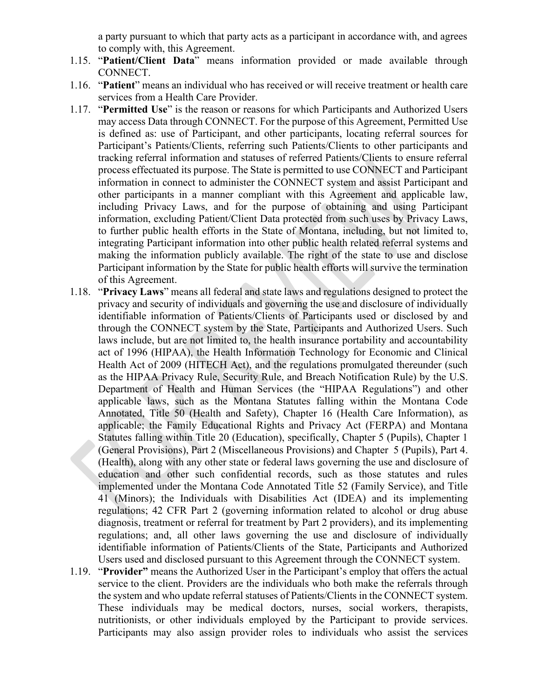a party pursuant to which that party acts as a participant in accordance with, and agrees to comply with, this Agreement.

- 1.15. "**Patient/Client Data**" means information provided or made available through CONNECT.
- 1.16. "**Patient**" means an individual who has received or will receive treatment or health care services from a Health Care Provider.
- 1.17. "**Permitted Use**" is the reason or reasons for which Participants and Authorized Users may access Data through CONNECT. For the purpose of this Agreement, Permitted Use is defined as: use of Participant, and other participants, locating referral sources for Participant's Patients/Clients, referring such Patients/Clients to other participants and tracking referral information and statuses of referred Patients/Clients to ensure referral process effectuated its purpose. The State is permitted to use CONNECT and Participant information in connect to administer the CONNECT system and assist Participant and other participants in a manner compliant with this Agreement and applicable law, including Privacy Laws, and for the purpose of obtaining and using Participant information, excluding Patient/Client Data protected from such uses by Privacy Laws, to further public health efforts in the State of Montana, including, but not limited to, integrating Participant information into other public health related referral systems and making the information publicly available. The right of the state to use and disclose Participant information by the State for public health efforts will survive the termination of this Agreement.
- 1.18. "**Privacy Laws**" means all federal and state laws and regulations designed to protect the privacy and security of individuals and governing the use and disclosure of individually identifiable information of Patients/Clients of Participants used or disclosed by and through the CONNECT system by the State, Participants and Authorized Users. Such laws include, but are not limited to, the health insurance portability and accountability act of 1996 (HIPAA), the Health Information Technology for Economic and Clinical Health Act of 2009 (HITECH Act), and the regulations promulgated thereunder (such as the HIPAA Privacy Rule, Security Rule, and Breach Notification Rule) by the U.S. Department of Health and Human Services (the "HIPAA Regulations") and other applicable laws, such as the Montana Statutes falling within the Montana Code Annotated, Title 50 (Health and Safety), Chapter 16 (Health Care Information), as applicable; the Family Educational Rights and Privacy Act (FERPA) and Montana Statutes falling within Title 20 (Education), specifically, Chapter 5 (Pupils), Chapter 1 (General Provisions), Part 2 (Miscellaneous Provisions) and Chapter 5 (Pupils), Part 4. (Health), along with any other state or federal laws governing the use and disclosure of education and other such confidential records, such as those statutes and rules implemented under the Montana Code Annotated Title 52 (Family Service), and Title 41 (Minors); the Individuals with Disabilities Act (IDEA) and its implementing regulations; 42 CFR Part 2 (governing information related to alcohol or drug abuse diagnosis, treatment or referral for treatment by Part 2 providers), and its implementing regulations; and, all other laws governing the use and disclosure of individually identifiable information of Patients/Clients of the State, Participants and Authorized Users used and disclosed pursuant to this Agreement through the CONNECT system.
- 1.19. "**Provider"** means the Authorized User in the Participant's employ that offers the actual service to the client. Providers are the individuals who both make the referrals through the system and who update referral statuses of Patients/Clients in the CONNECT system. These individuals may be medical doctors, nurses, social workers, therapists, nutritionists, or other individuals employed by the Participant to provide services. Participants may also assign provider roles to individuals who assist the services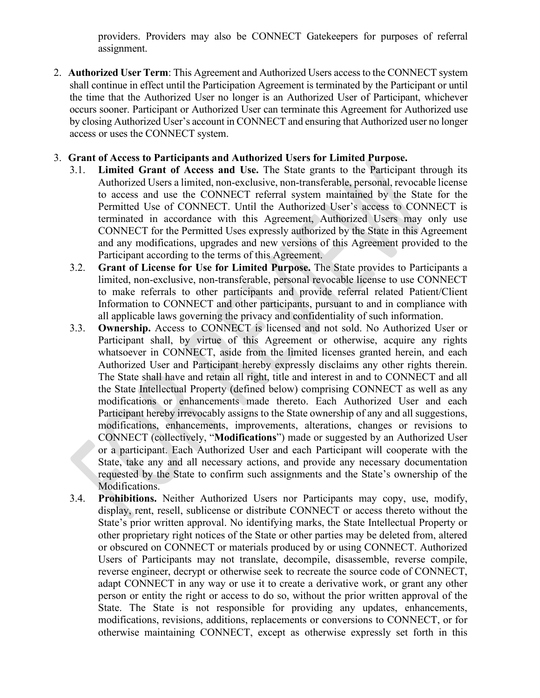providers. Providers may also be CONNECT Gatekeepers for purposes of referral assignment.

2. **Authorized User Term**: This Agreement and Authorized Users access to the CONNECT system shall continue in effect until the Participation Agreement is terminated by the Participant or until the time that the Authorized User no longer is an Authorized User of Participant, whichever occurs sooner. Participant or Authorized User can terminate this Agreement for Authorized use by closing Authorized User's account in CONNECT and ensuring that Authorized user no longer access or uses the CONNECT system.

# 3. **Grant of Access to Participants and Authorized Users for Limited Purpose.**

- 3.1. **Limited Grant of Access and Use.** The State grants to the Participant through its Authorized Users a limited, non-exclusive, non-transferable, personal, revocable license to access and use the CONNECT referral system maintained by the State for the Permitted Use of CONNECT. Until the Authorized User's access to CONNECT is terminated in accordance with this Agreement, Authorized Users may only use CONNECT for the Permitted Uses expressly authorized by the State in this Agreement and any modifications, upgrades and new versions of this Agreement provided to the Participant according to the terms of this Agreement.
- 3.2. **Grant of License for Use for Limited Purpose.** The State provides to Participants a limited, non-exclusive, non-transferable, personal revocable license to use CONNECT to make referrals to other participants and provide referral related Patient/Client Information to CONNECT and other participants, pursuant to and in compliance with all applicable laws governing the privacy and confidentiality of such information.
- 3.3. **Ownership.** Access to CONNECT is licensed and not sold. No Authorized User or Participant shall, by virtue of this Agreement or otherwise, acquire any rights whatsoever in CONNECT, aside from the limited licenses granted herein, and each Authorized User and Participant hereby expressly disclaims any other rights therein. The State shall have and retain all right, title and interest in and to CONNECT and all the State Intellectual Property (defined below) comprising CONNECT as well as any modifications or enhancements made thereto. Each Authorized User and each Participant hereby irrevocably assigns to the State ownership of any and all suggestions, modifications, enhancements, improvements, alterations, changes or revisions to CONNECT (collectively, "**Modifications**") made or suggested by an Authorized User or a participant. Each Authorized User and each Participant will cooperate with the State, take any and all necessary actions, and provide any necessary documentation requested by the State to confirm such assignments and the State's ownership of the Modifications.
- 3.4. **Prohibitions.** Neither Authorized Users nor Participants may copy, use, modify, display, rent, resell, sublicense or distribute CONNECT or access thereto without the State's prior written approval. No identifying marks, the State Intellectual Property or other proprietary right notices of the State or other parties may be deleted from, altered or obscured on CONNECT or materials produced by or using CONNECT. Authorized Users of Participants may not translate, decompile, disassemble, reverse compile, reverse engineer, decrypt or otherwise seek to recreate the source code of CONNECT, adapt CONNECT in any way or use it to create a derivative work, or grant any other person or entity the right or access to do so, without the prior written approval of the State. The State is not responsible for providing any updates, enhancements, modifications, revisions, additions, replacements or conversions to CONNECT, or for otherwise maintaining CONNECT, except as otherwise expressly set forth in this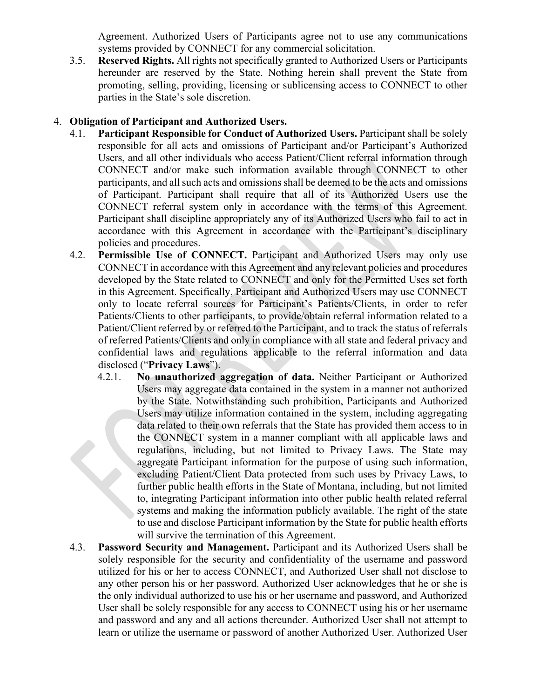Agreement. Authorized Users of Participants agree not to use any communications systems provided by CONNECT for any commercial solicitation.

3.5. **Reserved Rights.** All rights not specifically granted to Authorized Users or Participants hereunder are reserved by the State. Nothing herein shall prevent the State from promoting, selling, providing, licensing or sublicensing access to CONNECT to other parties in the State's sole discretion.

# 4. **Obligation of Participant and Authorized Users.**

- 4.1. **Participant Responsible for Conduct of Authorized Users.** Participant shall be solely responsible for all acts and omissions of Participant and/or Participant's Authorized Users, and all other individuals who access Patient/Client referral information through CONNECT and/or make such information available through CONNECT to other participants, and all such acts and omissions shall be deemed to be the acts and omissions of Participant. Participant shall require that all of its Authorized Users use the CONNECT referral system only in accordance with the terms of this Agreement. Participant shall discipline appropriately any of its Authorized Users who fail to act in accordance with this Agreement in accordance with the Participant's disciplinary policies and procedures.
- 4.2. **Permissible Use of CONNECT.** Participant and Authorized Users may only use CONNECT in accordance with this Agreement and any relevant policies and procedures developed by the State related to CONNECT and only for the Permitted Uses set forth in this Agreement. Specifically, Participant and Authorized Users may use CONNECT only to locate referral sources for Participant's Patients/Clients, in order to refer Patients/Clients to other participants, to provide/obtain referral information related to a Patient/Client referred by or referred to the Participant, and to track the status of referrals of referred Patients/Clients and only in compliance with all state and federal privacy and confidential laws and regulations applicable to the referral information and data disclosed ("**Privacy Laws**").
	- 4.2.1. **No unauthorized aggregation of data.** Neither Participant or Authorized Users may aggregate data contained in the system in a manner not authorized by the State. Notwithstanding such prohibition, Participants and Authorized Users may utilize information contained in the system, including aggregating data related to their own referrals that the State has provided them access to in the CONNECT system in a manner compliant with all applicable laws and regulations, including, but not limited to Privacy Laws. The State may aggregate Participant information for the purpose of using such information, excluding Patient/Client Data protected from such uses by Privacy Laws, to further public health efforts in the State of Montana, including, but not limited to, integrating Participant information into other public health related referral systems and making the information publicly available. The right of the state to use and disclose Participant information by the State for public health efforts will survive the termination of this Agreement.
- 4.3. **Password Security and Management.** Participant and its Authorized Users shall be solely responsible for the security and confidentiality of the username and password utilized for his or her to access CONNECT, and Authorized User shall not disclose to any other person his or her password. Authorized User acknowledges that he or she is the only individual authorized to use his or her username and password, and Authorized User shall be solely responsible for any access to CONNECT using his or her username and password and any and all actions thereunder. Authorized User shall not attempt to learn or utilize the username or password of another Authorized User. Authorized User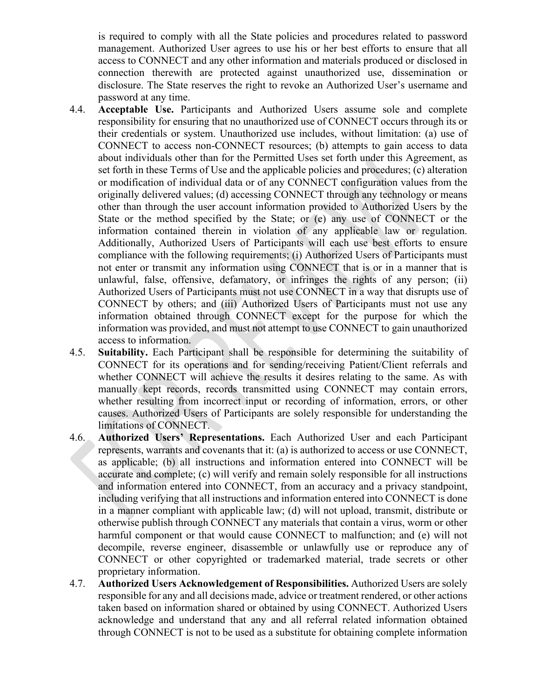is required to comply with all the State policies and procedures related to password management. Authorized User agrees to use his or her best efforts to ensure that all access to CONNECT and any other information and materials produced or disclosed in connection therewith are protected against unauthorized use, dissemination or disclosure. The State reserves the right to revoke an Authorized User's username and password at any time.

- 4.4. **Acceptable Use.** Participants and Authorized Users assume sole and complete responsibility for ensuring that no unauthorized use of CONNECT occurs through its or their credentials or system. Unauthorized use includes, without limitation: (a) use of CONNECT to access non-CONNECT resources; (b) attempts to gain access to data about individuals other than for the Permitted Uses set forth under this Agreement, as set forth in these Terms of Use and the applicable policies and procedures; (c) alteration or modification of individual data or of any CONNECT configuration values from the originally delivered values; (d) accessing CONNECT through any technology or means other than through the user account information provided to Authorized Users by the State or the method specified by the State; or (e) any use of CONNECT or the information contained therein in violation of any applicable law or regulation. Additionally, Authorized Users of Participants will each use best efforts to ensure compliance with the following requirements; (i) Authorized Users of Participants must not enter or transmit any information using CONNECT that is or in a manner that is unlawful, false, offensive, defamatory, or infringes the rights of any person; (ii) Authorized Users of Participants must not use CONNECT in a way that disrupts use of CONNECT by others; and (iii) Authorized Users of Participants must not use any information obtained through CONNECT except for the purpose for which the information was provided, and must not attempt to use CONNECT to gain unauthorized access to information.
- 4.5. **Suitability.** Each Participant shall be responsible for determining the suitability of CONNECT for its operations and for sending/receiving Patient/Client referrals and whether CONNECT will achieve the results it desires relating to the same. As with manually kept records, records transmitted using CONNECT may contain errors, whether resulting from incorrect input or recording of information, errors, or other causes. Authorized Users of Participants are solely responsible for understanding the limitations of CONNECT.
- 4.6. **Authorized Users' Representations.** Each Authorized User and each Participant represents, warrants and covenants that it: (a) is authorized to access or use CONNECT, as applicable; (b) all instructions and information entered into CONNECT will be accurate and complete; (c) will verify and remain solely responsible for all instructions and information entered into CONNECT, from an accuracy and a privacy standpoint, including verifying that all instructions and information entered into CONNECT is done in a manner compliant with applicable law; (d) will not upload, transmit, distribute or otherwise publish through CONNECT any materials that contain a virus, worm or other harmful component or that would cause CONNECT to malfunction; and (e) will not decompile, reverse engineer, disassemble or unlawfully use or reproduce any of CONNECT or other copyrighted or trademarked material, trade secrets or other proprietary information.
- 4.7. **Authorized Users Acknowledgement of Responsibilities.** Authorized Users are solely responsible for any and all decisions made, advice or treatment rendered, or other actions taken based on information shared or obtained by using CONNECT. Authorized Users acknowledge and understand that any and all referral related information obtained through CONNECT is not to be used as a substitute for obtaining complete information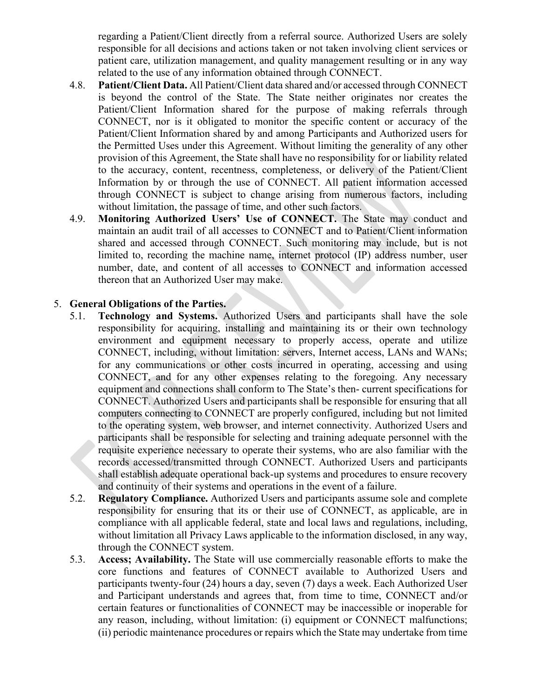regarding a Patient/Client directly from a referral source. Authorized Users are solely responsible for all decisions and actions taken or not taken involving client services or patient care, utilization management, and quality management resulting or in any way related to the use of any information obtained through CONNECT.

- 4.8. **Patient/Client Data.** All Patient/Client data shared and/or accessed through CONNECT is beyond the control of the State. The State neither originates nor creates the Patient/Client Information shared for the purpose of making referrals through CONNECT, nor is it obligated to monitor the specific content or accuracy of the Patient/Client Information shared by and among Participants and Authorized users for the Permitted Uses under this Agreement. Without limiting the generality of any other provision of this Agreement, the State shall have no responsibility for or liability related to the accuracy, content, recentness, completeness, or delivery of the Patient/Client Information by or through the use of CONNECT. All patient information accessed through CONNECT is subject to change arising from numerous factors, including without limitation, the passage of time, and other such factors.
- 4.9. **Monitoring Authorized Users' Use of CONNECT.** The State may conduct and maintain an audit trail of all accesses to CONNECT and to Patient/Client information shared and accessed through CONNECT. Such monitoring may include, but is not limited to, recording the machine name, internet protocol (IP) address number, user number, date, and content of all accesses to CONNECT and information accessed thereon that an Authorized User may make.

#### 5. **General Obligations of the Parties.**

- 5.1. **Technology and Systems.** Authorized Users and participants shall have the sole responsibility for acquiring, installing and maintaining its or their own technology environment and equipment necessary to properly access, operate and utilize CONNECT, including, without limitation: servers, Internet access, LANs and WANs; for any communications or other costs incurred in operating, accessing and using CONNECT, and for any other expenses relating to the foregoing. Any necessary equipment and connections shall conform to The State's then- current specifications for CONNECT. Authorized Users and participants shall be responsible for ensuring that all computers connecting to CONNECT are properly configured, including but not limited to the operating system, web browser, and internet connectivity. Authorized Users and participants shall be responsible for selecting and training adequate personnel with the requisite experience necessary to operate their systems, who are also familiar with the records accessed/transmitted through CONNECT. Authorized Users and participants shall establish adequate operational back-up systems and procedures to ensure recovery and continuity of their systems and operations in the event of a failure.
- 5.2. **Regulatory Compliance.** Authorized Users and participants assume sole and complete responsibility for ensuring that its or their use of CONNECT, as applicable, are in compliance with all applicable federal, state and local laws and regulations, including, without limitation all Privacy Laws applicable to the information disclosed, in any way, through the CONNECT system.
- 5.3. **Access; Availability.** The State will use commercially reasonable efforts to make the core functions and features of CONNECT available to Authorized Users and participants twenty-four (24) hours a day, seven (7) days a week. Each Authorized User and Participant understands and agrees that, from time to time, CONNECT and/or certain features or functionalities of CONNECT may be inaccessible or inoperable for any reason, including, without limitation: (i) equipment or CONNECT malfunctions; (ii) periodic maintenance procedures or repairs which the State may undertake from time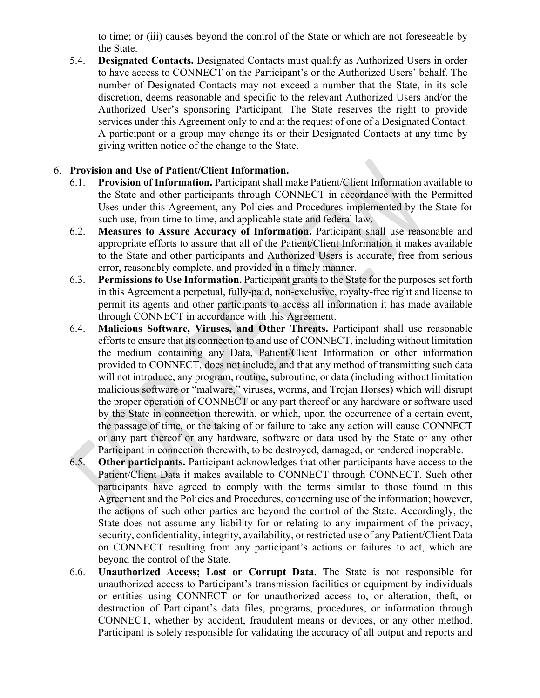to time; or (iii) causes beyond the control of the State or which are not foreseeable by the State.

5.4. **Designated Contacts.** Designated Contacts must qualify as Authorized Users in order to have access to CONNECT on the Participant's or the Authorized Users' behalf. The number of Designated Contacts may not exceed a number that the State, in its sole discretion, deems reasonable and specific to the relevant Authorized Users and/or the Authorized User's sponsoring Participant. The State reserves the right to provide services under this Agreement only to and at the request of one of a Designated Contact. A participant or a group may change its or their Designated Contacts at any time by giving written notice of the change to the State.

# 6. **Provision and Use of Patient/Client Information.**

- 6.1. **Provision of Information.** Participant shall make Patient/Client Information available to the State and other participants through CONNECT in accordance with the Permitted Uses under this Agreement, any Policies and Procedures implemented by the State for such use, from time to time, and applicable state and federal law.
- 6.2. **Measures to Assure Accuracy of Information.** Participant shall use reasonable and appropriate efforts to assure that all of the Patient/Client Information it makes available to the State and other participants and Authorized Users is accurate, free from serious error, reasonably complete, and provided in a timely manner.
- 6.3. **Permissions to Use Information.** Participant grants to the State for the purposes set forth in this Agreement a perpetual, fully-paid, non-exclusive, royalty-free right and license to permit its agents and other participants to access all information it has made available through CONNECT in accordance with this Agreement.
- 6.4. **Malicious Software, Viruses, and Other Threats.** Participant shall use reasonable efforts to ensure that its connection to and use of CONNECT, including without limitation the medium containing any Data, Patient/Client Information or other information provided to CONNECT, does not include, and that any method of transmitting such data will not introduce, any program, routine, subroutine, or data (including without limitation malicious software or "malware," viruses, worms, and Trojan Horses) which will disrupt the proper operation of CONNECT or any part thereof or any hardware or software used by the State in connection therewith, or which, upon the occurrence of a certain event, the passage of time, or the taking of or failure to take any action will cause CONNECT or any part thereof or any hardware, software or data used by the State or any other Participant in connection therewith, to be destroyed, damaged, or rendered inoperable.
- 6.5. **Other participants.** Participant acknowledges that other participants have access to the Patient/Client Data it makes available to CONNECT through CONNECT. Such other participants have agreed to comply with the terms similar to those found in this Agreement and the Policies and Procedures, concerning use of the information; however, the actions of such other parties are beyond the control of the State. Accordingly, the State does not assume any liability for or relating to any impairment of the privacy, security, confidentiality, integrity, availability, or restricted use of any Patient/Client Data on CONNECT resulting from any participant's actions or failures to act, which are beyond the control of the State.
- 6.6. **Unauthorized Access; Lost or Corrupt Data**. The State is not responsible for unauthorized access to Participant's transmission facilities or equipment by individuals or entities using CONNECT or for unauthorized access to, or alteration, theft, or destruction of Participant's data files, programs, procedures, or information through CONNECT, whether by accident, fraudulent means or devices, or any other method. Participant is solely responsible for validating the accuracy of all output and reports and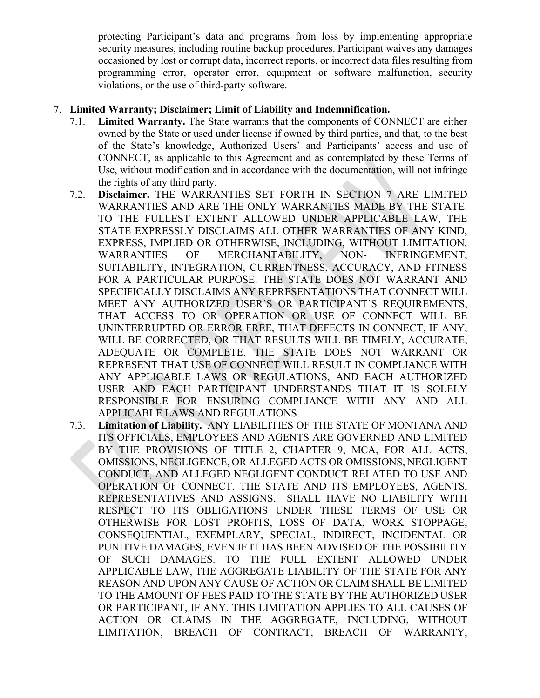protecting Participant's data and programs from loss by implementing appropriate security measures, including routine backup procedures. Participant waives any damages occasioned by lost or corrupt data, incorrect reports, or incorrect data files resulting from programming error, operator error, equipment or software malfunction, security violations, or the use of third-party software.

### 7. **Limited Warranty; Disclaimer; Limit of Liability and Indemnification.**

- 7.1. **Limited Warranty.** The State warrants that the components of CONNECT are either owned by the State or used under license if owned by third parties, and that, to the best of the State's knowledge, Authorized Users' and Participants' access and use of CONNECT, as applicable to this Agreement and as contemplated by these Terms of Use, without modification and in accordance with the documentation, will not infringe the rights of any third party.
- 7.2. **Disclaimer.** THE WARRANTIES SET FORTH IN SECTION 7 ARE LIMITED WARRANTIES AND ARE THE ONLY WARRANTIES MADE BY THE STATE. TO THE FULLEST EXTENT ALLOWED UNDER APPLICABLE LAW, THE STATE EXPRESSLY DISCLAIMS ALL OTHER WARRANTIES OF ANY KIND, EXPRESS, IMPLIED OR OTHERWISE, INCLUDING, WITHOUT LIMITATION, WARRANTIES OF MERCHANTABILITY, NON- INFRINGEMENT, SUITABILITY, INTEGRATION, CURRENTNESS, ACCURACY, AND FITNESS FOR A PARTICULAR PURPOSE. THE STATE DOES NOT WARRANT AND SPECIFICALLY DISCLAIMS ANY REPRESENTATIONS THAT CONNECT WILL MEET ANY AUTHORIZED USER'S OR PARTICIPANT'S REQUIREMENTS, THAT ACCESS TO OR OPERATION OR USE OF CONNECT WILL BE UNINTERRUPTED OR ERROR FREE, THAT DEFECTS IN CONNECT, IF ANY, WILL BE CORRECTED, OR THAT RESULTS WILL BE TIMELY, ACCURATE, ADEQUATE OR COMPLETE. THE STATE DOES NOT WARRANT OR REPRESENT THAT USE OF CONNECT WILL RESULT IN COMPLIANCE WITH ANY APPLICABLE LAWS OR REGULATIONS, AND EACH AUTHORIZED USER AND EACH PARTICIPANT UNDERSTANDS THAT IT IS SOLELY RESPONSIBLE FOR ENSURING COMPLIANCE WITH ANY AND ALL APPLICABLE LAWS AND REGULATIONS.
- 7.3. **Limitation of Liability.** ANY LIABILITIES OF THE STATE OF MONTANA AND ITS OFFICIALS, EMPLOYEES AND AGENTS ARE GOVERNED AND LIMITED BY THE PROVISIONS OF TITLE 2, CHAPTER 9, MCA, FOR ALL ACTS, OMISSIONS, NEGLIGENCE, OR ALLEGED ACTS OR OMISSIONS, NEGLIGENT CONDUCT, AND ALLEGED NEGLIGENT CONDUCT RELATED TO USE AND OPERATION OF CONNECT. THE STATE AND ITS EMPLOYEES, AGENTS, REPRESENTATIVES AND ASSIGNS, SHALL HAVE NO LIABILITY WITH RESPECT TO ITS OBLIGATIONS UNDER THESE TERMS OF USE OR OTHERWISE FOR LOST PROFITS, LOSS OF DATA, WORK STOPPAGE, CONSEQUENTIAL, EXEMPLARY, SPECIAL, INDIRECT, INCIDENTAL OR PUNITIVE DAMAGES, EVEN IF IT HAS BEEN ADVISED OF THE POSSIBILITY OF SUCH DAMAGES. TO THE FULL EXTENT ALLOWED UNDER APPLICABLE LAW, THE AGGREGATE LIABILITY OF THE STATE FOR ANY REASON AND UPON ANY CAUSE OF ACTION OR CLAIM SHALL BE LIMITED TO THE AMOUNT OF FEES PAID TO THE STATE BY THE AUTHORIZED USER OR PARTICIPANT, IF ANY. THIS LIMITATION APPLIES TO ALL CAUSES OF ACTION OR CLAIMS IN THE AGGREGATE, INCLUDING, WITHOUT LIMITATION, BREACH OF CONTRACT, BREACH OF WARRANTY,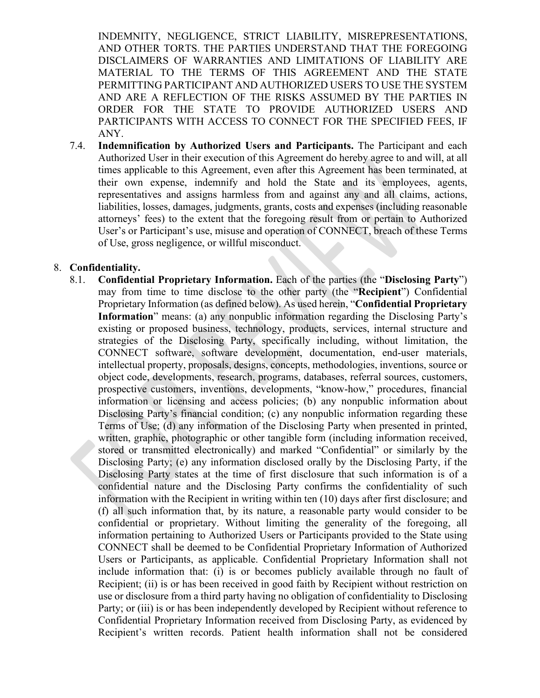INDEMNITY, NEGLIGENCE, STRICT LIABILITY, MISREPRESENTATIONS, AND OTHER TORTS. THE PARTIES UNDERSTAND THAT THE FOREGOING DISCLAIMERS OF WARRANTIES AND LIMITATIONS OF LIABILITY ARE MATERIAL TO THE TERMS OF THIS AGREEMENT AND THE STATE PERMITTING PARTICIPANT AND AUTHORIZED USERS TO USE THE SYSTEM AND ARE A REFLECTION OF THE RISKS ASSUMED BY THE PARTIES IN ORDER FOR THE STATE TO PROVIDE AUTHORIZED USERS AND PARTICIPANTS WITH ACCESS TO CONNECT FOR THE SPECIFIED FEES, IF ANY.

7.4. **Indemnification by Authorized Users and Participants.** The Participant and each Authorized User in their execution of this Agreement do hereby agree to and will, at all times applicable to this Agreement, even after this Agreement has been terminated, at their own expense, indemnify and hold the State and its employees, agents, representatives and assigns harmless from and against any and all claims, actions, liabilities, losses, damages, judgments, grants, costs and expenses (including reasonable attorneys' fees) to the extent that the foregoing result from or pertain to Authorized User's or Participant's use, misuse and operation of CONNECT, breach of these Terms of Use, gross negligence, or willful misconduct.

#### 8. **Confidentiality.**

8.1. **Confidential Proprietary Information.** Each of the parties (the "**Disclosing Party**") may from time to time disclose to the other party (the "**Recipient**") Confidential Proprietary Information (as defined below). As used herein, "**Confidential Proprietary Information**" means: (a) any nonpublic information regarding the Disclosing Party's existing or proposed business, technology, products, services, internal structure and strategies of the Disclosing Party, specifically including, without limitation, the CONNECT software, software development, documentation, end-user materials, intellectual property, proposals, designs, concepts, methodologies, inventions, source or object code, developments, research, programs, databases, referral sources, customers, prospective customers, inventions, developments, "know-how," procedures, financial information or licensing and access policies; (b) any nonpublic information about Disclosing Party's financial condition; (c) any nonpublic information regarding these Terms of Use; (d) any information of the Disclosing Party when presented in printed, written, graphic, photographic or other tangible form (including information received, stored or transmitted electronically) and marked "Confidential" or similarly by the Disclosing Party; (e) any information disclosed orally by the Disclosing Party, if the Disclosing Party states at the time of first disclosure that such information is of a confidential nature and the Disclosing Party confirms the confidentiality of such information with the Recipient in writing within ten (10) days after first disclosure; and (f) all such information that, by its nature, a reasonable party would consider to be confidential or proprietary. Without limiting the generality of the foregoing, all information pertaining to Authorized Users or Participants provided to the State using CONNECT shall be deemed to be Confidential Proprietary Information of Authorized Users or Participants, as applicable. Confidential Proprietary Information shall not include information that: (i) is or becomes publicly available through no fault of Recipient; (ii) is or has been received in good faith by Recipient without restriction on use or disclosure from a third party having no obligation of confidentiality to Disclosing Party; or (iii) is or has been independently developed by Recipient without reference to Confidential Proprietary Information received from Disclosing Party, as evidenced by Recipient's written records. Patient health information shall not be considered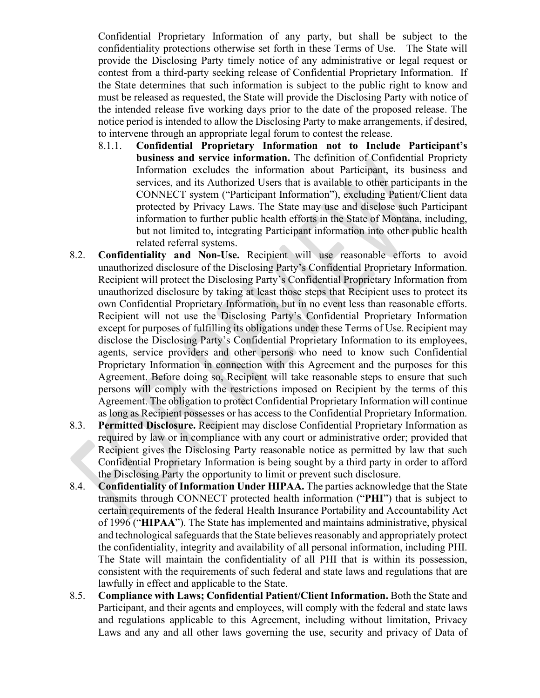Confidential Proprietary Information of any party, but shall be subject to the confidentiality protections otherwise set forth in these Terms of Use. The State will provide the Disclosing Party timely notice of any administrative or legal request or contest from a third-party seeking release of Confidential Proprietary Information. If the State determines that such information is subject to the public right to know and must be released as requested, the State will provide the Disclosing Party with notice of the intended release five working days prior to the date of the proposed release. The notice period is intended to allow the Disclosing Party to make arrangements, if desired, to intervene through an appropriate legal forum to contest the release.

- 8.1.1. **Confidential Proprietary Information not to Include Participant's business and service information.** The definition of Confidential Propriety Information excludes the information about Participant, its business and services, and its Authorized Users that is available to other participants in the CONNECT system ("Participant Information"), excluding Patient/Client data protected by Privacy Laws. The State may use and disclose such Participant information to further public health efforts in the State of Montana, including, but not limited to, integrating Participant information into other public health related referral systems.
- 8.2. **Confidentiality and Non-Use.** Recipient will use reasonable efforts to avoid unauthorized disclosure of the Disclosing Party's Confidential Proprietary Information. Recipient will protect the Disclosing Party's Confidential Proprietary Information from unauthorized disclosure by taking at least those steps that Recipient uses to protect its own Confidential Proprietary Information, but in no event less than reasonable efforts. Recipient will not use the Disclosing Party's Confidential Proprietary Information except for purposes of fulfilling its obligations under these Terms of Use. Recipient may disclose the Disclosing Party's Confidential Proprietary Information to its employees, agents, service providers and other persons who need to know such Confidential Proprietary Information in connection with this Agreement and the purposes for this Agreement. Before doing so, Recipient will take reasonable steps to ensure that such persons will comply with the restrictions imposed on Recipient by the terms of this Agreement. The obligation to protect Confidential Proprietary Information will continue as long as Recipient possesses or has access to the Confidential Proprietary Information.
- 8.3. **Permitted Disclosure.** Recipient may disclose Confidential Proprietary Information as required by law or in compliance with any court or administrative order; provided that Recipient gives the Disclosing Party reasonable notice as permitted by law that such Confidential Proprietary Information is being sought by a third party in order to afford the Disclosing Party the opportunity to limit or prevent such disclosure.
- 8.4. **Confidentiality of Information Under HIPAA.** The parties acknowledge that the State transmits through CONNECT protected health information ("**PHI**") that is subject to certain requirements of the federal Health Insurance Portability and Accountability Act of 1996 ("**HIPAA**"). The State has implemented and maintains administrative, physical and technological safeguards that the State believes reasonably and appropriately protect the confidentiality, integrity and availability of all personal information, including PHI. The State will maintain the confidentiality of all PHI that is within its possession, consistent with the requirements of such federal and state laws and regulations that are lawfully in effect and applicable to the State.
- 8.5. **Compliance with Laws; Confidential Patient/Client Information.** Both the State and Participant, and their agents and employees, will comply with the federal and state laws and regulations applicable to this Agreement, including without limitation, Privacy Laws and any and all other laws governing the use, security and privacy of Data of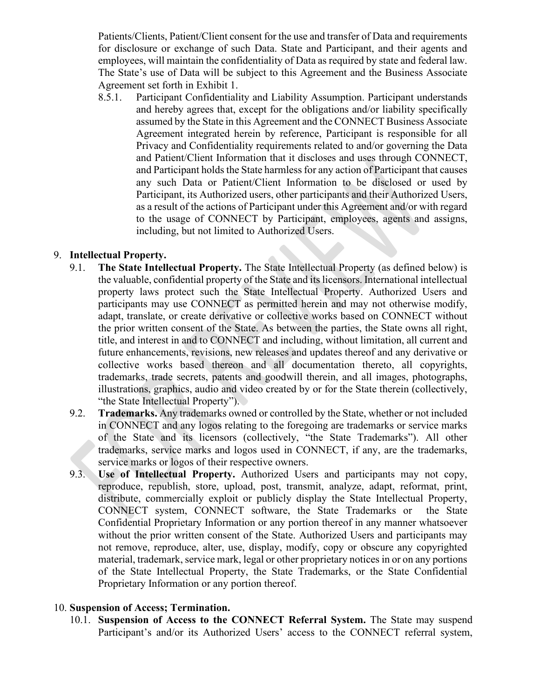Patients/Clients, Patient/Client consent for the use and transfer of Data and requirements for disclosure or exchange of such Data. State and Participant, and their agents and employees, will maintain the confidentiality of Data as required by state and federal law. The State's use of Data will be subject to this Agreement and the Business Associate Agreement set forth in Exhibit 1.

8.5.1. Participant Confidentiality and Liability Assumption. Participant understands and hereby agrees that, except for the obligations and/or liability specifically assumed by the State in this Agreement and the CONNECT Business Associate Agreement integrated herein by reference, Participant is responsible for all Privacy and Confidentiality requirements related to and/or governing the Data and Patient/Client Information that it discloses and uses through CONNECT, and Participant holds the State harmless for any action of Participant that causes any such Data or Patient/Client Information to be disclosed or used by Participant, its Authorized users, other participants and their Authorized Users, as a result of the actions of Participant under this Agreement and/or with regard to the usage of CONNECT by Participant, employees, agents and assigns, including, but not limited to Authorized Users.

### 9. **Intellectual Property.**

- 9.1. **The State Intellectual Property.** The State Intellectual Property (as defined below) is the valuable, confidential property of the State and its licensors. International intellectual property laws protect such the State Intellectual Property. Authorized Users and participants may use CONNECT as permitted herein and may not otherwise modify, adapt, translate, or create derivative or collective works based on CONNECT without the prior written consent of the State. As between the parties, the State owns all right, title, and interest in and to CONNECT and including, without limitation, all current and future enhancements, revisions, new releases and updates thereof and any derivative or collective works based thereon and all documentation thereto, all copyrights, trademarks, trade secrets, patents and goodwill therein, and all images, photographs, illustrations, graphics, audio and video created by or for the State therein (collectively, "the State Intellectual Property").
- 9.2. **Trademarks.** Any trademarks owned or controlled by the State, whether or not included in CONNECT and any logos relating to the foregoing are trademarks or service marks of the State and its licensors (collectively, "the State Trademarks"). All other trademarks, service marks and logos used in CONNECT, if any, are the trademarks, service marks or logos of their respective owners.
- 9.3. **Use of Intellectual Property.** Authorized Users and participants may not copy, reproduce, republish, store, upload, post, transmit, analyze, adapt, reformat, print, distribute, commercially exploit or publicly display the State Intellectual Property, CONNECT system, CONNECT software, the State Trademarks or the State Confidential Proprietary Information or any portion thereof in any manner whatsoever without the prior written consent of the State. Authorized Users and participants may not remove, reproduce, alter, use, display, modify, copy or obscure any copyrighted material, trademark, service mark, legal or other proprietary notices in or on any portions of the State Intellectual Property, the State Trademarks, or the State Confidential Proprietary Information or any portion thereof.

# 10. **Suspension of Access; Termination.**

10.1. **Suspension of Access to the CONNECT Referral System.** The State may suspend Participant's and/or its Authorized Users' access to the CONNECT referral system,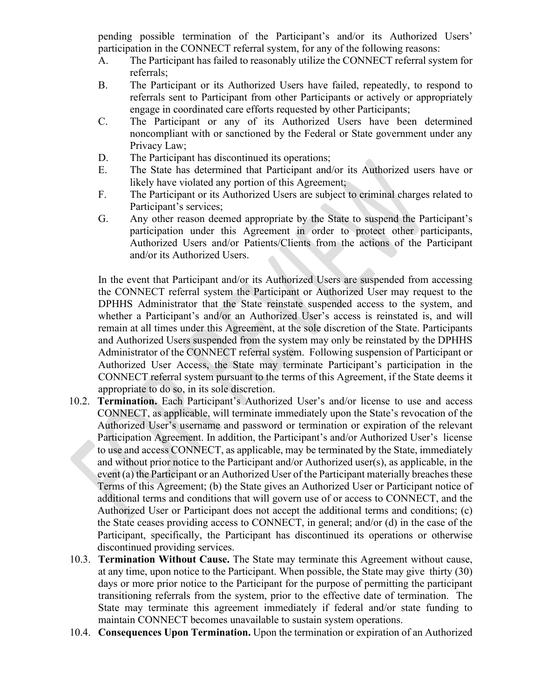pending possible termination of the Participant's and/or its Authorized Users' participation in the CONNECT referral system, for any of the following reasons:

- A. The Participant has failed to reasonably utilize the CONNECT referral system for referrals;
- B. The Participant or its Authorized Users have failed, repeatedly, to respond to referrals sent to Participant from other Participants or actively or appropriately engage in coordinated care efforts requested by other Participants;
- C. The Participant or any of its Authorized Users have been determined noncompliant with or sanctioned by the Federal or State government under any Privacy Law;
- D. The Participant has discontinued its operations;
- E. The State has determined that Participant and/or its Authorized users have or likely have violated any portion of this Agreement;
- F. The Participant or its Authorized Users are subject to criminal charges related to Participant's services;
- G. Any other reason deemed appropriate by the State to suspend the Participant's participation under this Agreement in order to protect other participants, Authorized Users and/or Patients/Clients from the actions of the Participant and/or its Authorized Users.

In the event that Participant and/or its Authorized Users are suspended from accessing the CONNECT referral system the Participant or Authorized User may request to the DPHHS Administrator that the State reinstate suspended access to the system, and whether a Participant's and/or an Authorized User's access is reinstated is, and will remain at all times under this Agreement, at the sole discretion of the State. Participants and Authorized Users suspended from the system may only be reinstated by the DPHHS Administrator of the CONNECT referral system. Following suspension of Participant or Authorized User Access, the State may terminate Participant's participation in the CONNECT referral system pursuant to the terms of this Agreement, if the State deems it appropriate to do so, in its sole discretion.

- 10.2. **Termination.** Each Participant's Authorized User's and/or license to use and access CONNECT, as applicable, will terminate immediately upon the State's revocation of the Authorized User's username and password or termination or expiration of the relevant Participation Agreement. In addition, the Participant's and/or Authorized User's license to use and access CONNECT, as applicable, may be terminated by the State, immediately and without prior notice to the Participant and/or Authorized user(s), as applicable, in the event (a) the Participant or an Authorized User of the Participant materially breaches these Terms of this Agreement; (b) the State gives an Authorized User or Participant notice of additional terms and conditions that will govern use of or access to CONNECT, and the Authorized User or Participant does not accept the additional terms and conditions; (c) the State ceases providing access to CONNECT, in general; and/or (d) in the case of the Participant, specifically, the Participant has discontinued its operations or otherwise discontinued providing services.
- 10.3. **Termination Without Cause.** The State may terminate this Agreement without cause, at any time, upon notice to the Participant. When possible, the State may give thirty (30) days or more prior notice to the Participant for the purpose of permitting the participant transitioning referrals from the system, prior to the effective date of termination. The State may terminate this agreement immediately if federal and/or state funding to maintain CONNECT becomes unavailable to sustain system operations.
- 10.4. **Consequences Upon Termination.** Upon the termination or expiration of an Authorized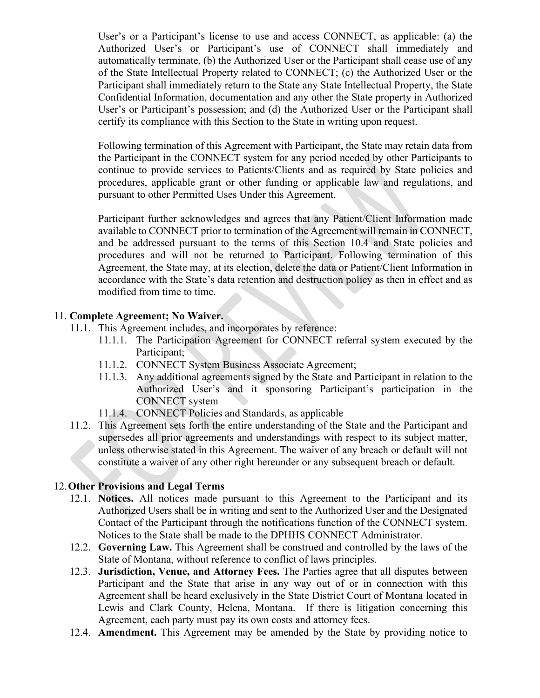User's or a Participant's license to use and access CONNECT, as applicable: (a) the Authorized User's or Participant's use of CONNECT shall immediately and automatically terminate, (b) the Authorized User or the Participant shall cease use of any of the State Intellectual Property related to CONNECT; (c) the Authorized User or the Participant shall immediately return to the State any State Intellectual Property, the State Confidential Information, documentation and any other the State property in Authorized User's or Participant's possession; and (d) the Authorized User or the Participant shall certify its compliance with this Section to the State in writing upon request.

Following termination of this Agreement with Participant, the State may retain data from the Participant in the CONNECT system for any period needed by other Participants to continue to provide services to Patients/Clients and as required by State policies and procedures, applicable grant or other funding or applicable law and regulations, and pursuant to other Permitted Uses Under this Agreement.

Participant further acknowledges and agrees that any Patient/Client Information made available to CONNECT prior to termination of the Agreement will remain in CONNECT, and be addressed pursuant to the terms of this Section 10.4 and State policies and procedures and will not be returned to Participant. Following termination of this Agreement, the State may, at its election, delete the data or Patient/Client Information in accordance with the State's data retention and destruction policy as then in effect and as modified from time to time.

### 11. **Complete Agreement; No Waiver.**

- 11.1. This Agreement includes, and incorporates by reference:
	- 11.1.1. The Participation Agreement for CONNECT referral system executed by the Participant;
	- 11.1.2. CONNECT System Business Associate Agreement;
	- 11.1.3. Any additional agreements signed by the State and Participant in relation to the Authorized User's and it sponsoring Participant's participation in the CONNECT system
	- 11.1.4. CONNECT Policies and Standards, as applicable
- 11.2. This Agreement sets forth the entire understanding of the State and the Participant and supersedes all prior agreements and understandings with respect to its subject matter, unless otherwise stated in this Agreement. The waiver of any breach or default will not constitute a waiver of any other right hereunder or any subsequent breach or default.

# 12.**Other Provisions and Legal Terms**

- 12.1. **Notices.** All notices made pursuant to this Agreement to the Participant and its Authorized Users shall be in writing and sent to the Authorized User and the Designated Contact of the Participant through the notifications function of the CONNECT system. Notices to the State shall be made to the DPHHS CONNECT Administrator.
- 12.2. **Governing Law.** This Agreement shall be construed and controlled by the laws of the State of Montana, without reference to conflict of laws principles.
- 12.3. **Jurisdiction, Venue, and Attorney Fees.** The Parties agree that all disputes between Participant and the State that arise in any way out of or in connection with this Agreement shall be heard exclusively in the State District Court of Montana located in Lewis and Clark County, Helena, Montana. If there is litigation concerning this Agreement, each party must pay its own costs and attorney fees.
- 12.4. **Amendment.** This Agreement may be amended by the State by providing notice to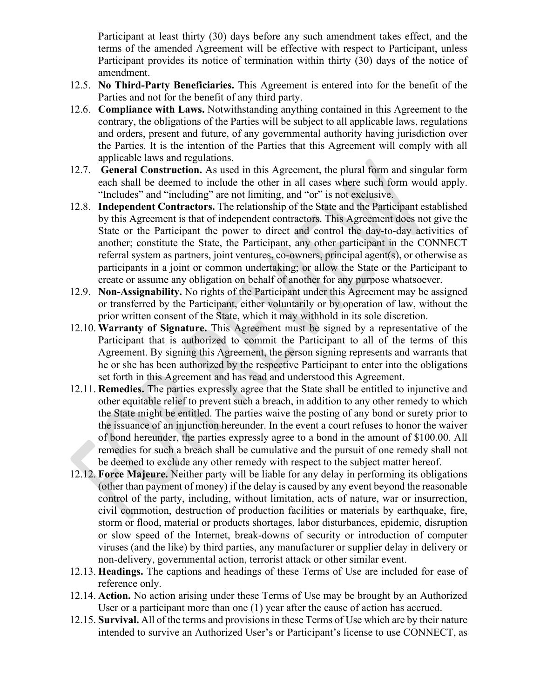Participant at least thirty (30) days before any such amendment takes effect, and the terms of the amended Agreement will be effective with respect to Participant, unless Participant provides its notice of termination within thirty (30) days of the notice of amendment.

- 12.5. **No Third-Party Beneficiaries.** This Agreement is entered into for the benefit of the Parties and not for the benefit of any third party.
- 12.6. **Compliance with Laws.** Notwithstanding anything contained in this Agreement to the contrary, the obligations of the Parties will be subject to all applicable laws, regulations and orders, present and future, of any governmental authority having jurisdiction over the Parties. It is the intention of the Parties that this Agreement will comply with all applicable laws and regulations.
- 12.7. **General Construction.** As used in this Agreement, the plural form and singular form each shall be deemed to include the other in all cases where such form would apply. "Includes" and "including" are not limiting, and "or" is not exclusive.
- 12.8. **Independent Contractors.** The relationship of the State and the Participant established by this Agreement is that of independent contractors. This Agreement does not give the State or the Participant the power to direct and control the day-to-day activities of another; constitute the State, the Participant, any other participant in the CONNECT referral system as partners, joint ventures, co-owners, principal agent(s), or otherwise as participants in a joint or common undertaking; or allow the State or the Participant to create or assume any obligation on behalf of another for any purpose whatsoever.
- 12.9. **Non-Assignability.** No rights of the Participant under this Agreement may be assigned or transferred by the Participant, either voluntarily or by operation of law, without the prior written consent of the State, which it may withhold in its sole discretion.
- 12.10. **Warranty of Signature.** This Agreement must be signed by a representative of the Participant that is authorized to commit the Participant to all of the terms of this Agreement. By signing this Agreement, the person signing represents and warrants that he or she has been authorized by the respective Participant to enter into the obligations set forth in this Agreement and has read and understood this Agreement.
- 12.11. **Remedies.** The parties expressly agree that the State shall be entitled to injunctive and other equitable relief to prevent such a breach, in addition to any other remedy to which the State might be entitled. The parties waive the posting of any bond or surety prior to the issuance of an injunction hereunder. In the event a court refuses to honor the waiver of bond hereunder, the parties expressly agree to a bond in the amount of \$100.00. All remedies for such a breach shall be cumulative and the pursuit of one remedy shall not be deemed to exclude any other remedy with respect to the subject matter hereof.
- 12.12. **Force Majeure.** Neither party will be liable for any delay in performing its obligations (other than payment of money) if the delay is caused by any event beyond the reasonable control of the party, including, without limitation, acts of nature, war or insurrection, civil commotion, destruction of production facilities or materials by earthquake, fire, storm or flood, material or products shortages, labor disturbances, epidemic, disruption or slow speed of the Internet, break-downs of security or introduction of computer viruses (and the like) by third parties, any manufacturer or supplier delay in delivery or non-delivery, governmental action, terrorist attack or other similar event.
- 12.13. **Headings.** The captions and headings of these Terms of Use are included for ease of reference only.
- 12.14. **Action.** No action arising under these Terms of Use may be brought by an Authorized User or a participant more than one (1) year after the cause of action has accrued.
- 12.15. **Survival.** All of the terms and provisions in these Terms of Use which are by their nature intended to survive an Authorized User's or Participant's license to use CONNECT, as